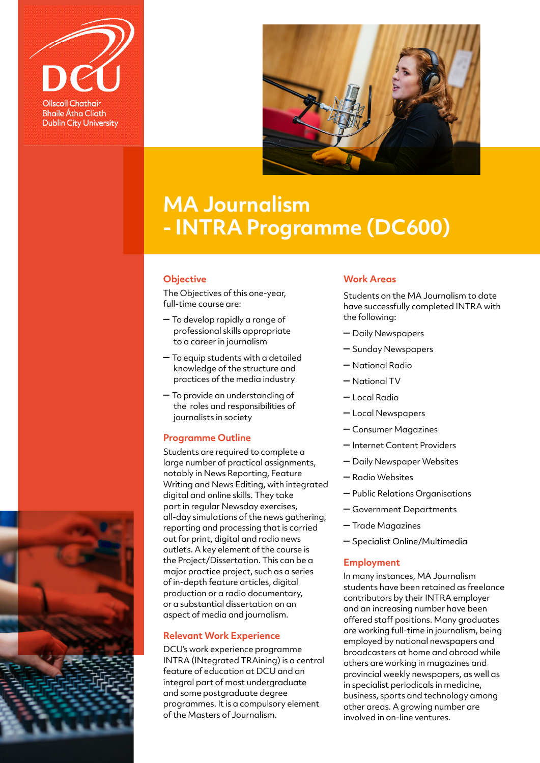



## **MA Journalism - INTRA Programme (DC600)**

#### **Objective**

The Objectives of this one-year, full-time course are:

- To develop rapidly a range of professional skills appropriate to a career in journalism
- To equip students with a detailed knowledge of the structure and practices of the media industry
- To provide an understanding of the roles and responsibilities of journalists in society

### **Programme Outline**

Students are required to complete a large number of practical assignments, notably in News Reporting, Feature Writing and News Editing, with integrated digital and online skills. They take part in regular Newsday exercises, all-day simulations of the news gathering, reporting and processing that is carried out for print, digital and radio news outlets. A key element of the course is the Project/Dissertation. This can be a major practice project, such as a series of in-depth feature articles, digital production or a radio documentary, or a substantial dissertation on an aspect of media and journalism.

### **Relevant Work Experience**

DCU's work experience programme INTRA (INtegrated TRAining) is a central feature of education at DCU and an integral part of most undergraduate and some postgraduate degree programmes. It is a compulsory element of the Masters of Journalism.

### **Work Areas**

Students on the MA Journalism to date have successfully completed INTRA with the following:

- Daily Newspapers
- Sunday Newspapers
- National Radio
- National TV
- Local Radio
- Local Newspapers
- Consumer Magazines
- Internet Content Providers
- Daily Newspaper Websites
- Radio Websites
- Public Relations Organisations
- Government Departments
- Trade Magazines
- Specialist Online/Multimedia

### **Employment**

In many instances, MA Journalism students have been retained as freelance contributors by their INTRA employer and an increasing number have been offered staff positions. Many graduates are working full-time in journalism, being employed by national newspapers and broadcasters at home and abroad while others are working in magazines and provincial weekly newspapers, as well as in specialist periodicals in medicine, business, sports and technology among other areas. A growing number are involved in on-line ventures.